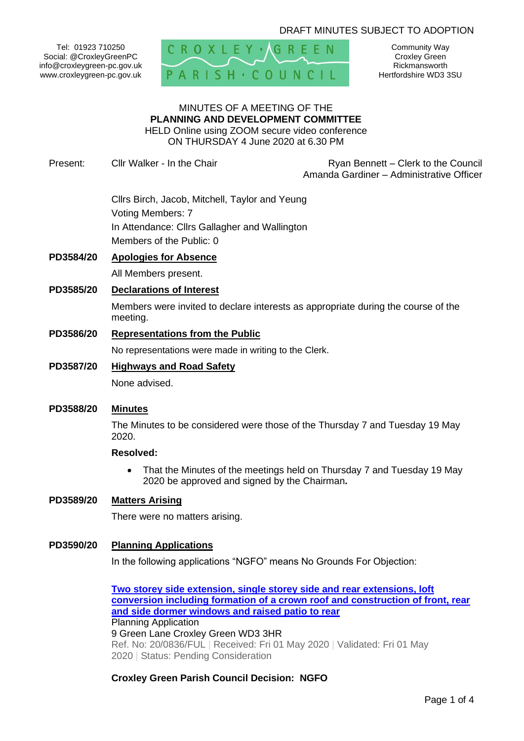# DRAFT MINUTES SUBJECT TO ADOPTION

Tel: 01923 710250 Social: @CroxleyGreenPC info@croxleygreen-pc.gov.uk www.croxleygreen-pc.gov.uk



Community Way Croxley Green Rickmansworth Hertfordshire WD3 3SU

#### MINUTES OF A MEETING OF THE **PLANNING AND DEVELOPMENT COMMITTEE** HELD Online using ZOOM secure video conference

ON THURSDAY 4 June 2020 at 6.30 PM

Present: Cllr Walker - In the Chair **Ryan Bennett** – Clerk to the Council

Amanda Gardiner – Administrative Officer

Cllrs Birch, Jacob, Mitchell, Taylor and Yeung Voting Members: 7 In Attendance: Cllrs Gallagher and Wallington Members of the Public: 0

# **PD3584/20 Apologies for Absence**

All Members present.

## **PD3585/20 Declarations of Interest**

Members were invited to declare interests as appropriate during the course of the meeting.

#### **PD3586/20 Representations from the Public**

No representations were made in writing to the Clerk.

# **PD3587/20 Highways and Road Safety**

None advised.

# **PD3588/20 Minutes**

The Minutes to be considered were those of the Thursday 7 and Tuesday 19 May 2020.

#### **Resolved:**

• That the Minutes of the meetings held on Thursday 7 and Tuesday 19 May 2020 be approved and signed by the Chairman**.**

# **PD3589/20 Matters Arising**

There were no matters arising.

#### **PD3590/20 Planning Applications**

In the following applications "NGFO" means No Grounds For Objection:

**[Two storey side extension, single storey side and rear extensions, loft](https://www3.threerivers.gov.uk/online-applications/applicationDetails.do?activeTab=summary&keyVal=Q9N4V3QFIVY00&prevPage=inTray)  [conversion including formation of a crown](https://www3.threerivers.gov.uk/online-applications/applicationDetails.do?activeTab=summary&keyVal=Q9N4V3QFIVY00&prevPage=inTray) roof and construction of front, rear [and side dormer windows and raised patio to rear](https://www3.threerivers.gov.uk/online-applications/applicationDetails.do?activeTab=summary&keyVal=Q9N4V3QFIVY00&prevPage=inTray)** Planning Application 9 Green Lane Croxley Green WD3 3HR Ref. No: 20/0836/FUL | Received: Fri 01 May 2020 | Validated: Fri 01 May 2020 | Status: Pending Consideration

# **Croxley Green Parish Council Decision: NGFO**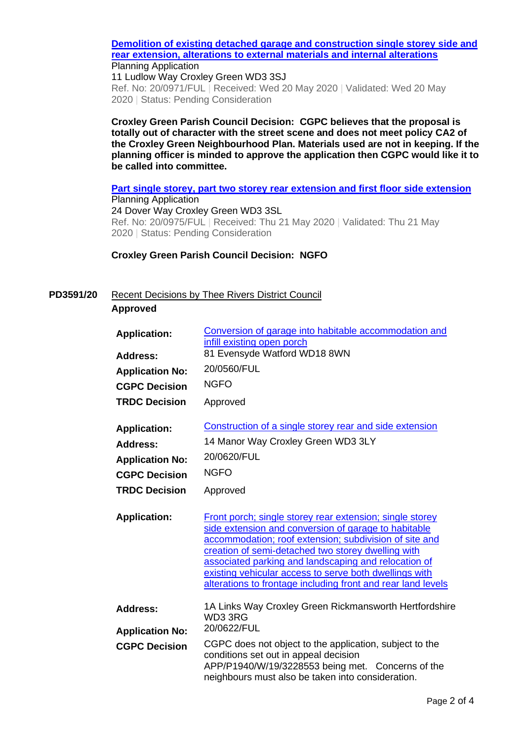#### **[Demolition of existing detached garage and construction single storey side and](https://www3.threerivers.gov.uk/online-applications/applicationDetails.do?activeTab=summary&keyVal=QAMMN4QFJ3400&prevPage=inTray)  [rear extension, alterations to external materials and internal alterations](https://www3.threerivers.gov.uk/online-applications/applicationDetails.do?activeTab=summary&keyVal=QAMMN4QFJ3400&prevPage=inTray)** Planning Application

11 Ludlow Way Croxley Green WD3 3SJ Ref. No: 20/0971/FUL | Received: Wed 20 May 2020 | Validated: Wed 20 May 2020 | Status: Pending Consideration

**Croxley Green Parish Council Decision: CGPC believes that the proposal is totally out of character with the street scene and does not meet policy CA2 of the Croxley Green Neighbourhood Plan. Materials used are not in keeping. If the planning officer is minded to approve the application then CGPC would like it to be called into committee.**

**[Part single storey, part two storey rear extension and first floor side extension](https://www3.threerivers.gov.uk/online-applications/applicationDetails.do?activeTab=summary&keyVal=QAO678QFJ3G00&prevPage=inTray)** Planning Application 24 Dover Way Croxley Green WD3 3SL Ref. No: 20/0975/FUL | Received: Thu 21 May 2020 | Validated: Thu 21 May 2020 | Status: Pending Consideration

# **Croxley Green Parish Council Decision: NGFO**

# **PD3591/20** Recent Decisions by Thee Rivers District Council **Approved**

| <b>Application:</b><br>Address:           | Conversion of garage into habitable accommodation and<br>infill existing open porch<br>81 Evensyde Watford WD18 8WN                                                                                                                                                                                                                                                                                                |
|-------------------------------------------|--------------------------------------------------------------------------------------------------------------------------------------------------------------------------------------------------------------------------------------------------------------------------------------------------------------------------------------------------------------------------------------------------------------------|
| <b>Application No:</b>                    | 20/0560/FUL                                                                                                                                                                                                                                                                                                                                                                                                        |
| <b>CGPC Decision</b>                      | <b>NGFO</b>                                                                                                                                                                                                                                                                                                                                                                                                        |
| <b>TRDC Decision</b>                      | Approved                                                                                                                                                                                                                                                                                                                                                                                                           |
| <b>Application:</b><br><b>Address:</b>    | Construction of a single storey rear and side extension<br>14 Manor Way Croxley Green WD3 3LY                                                                                                                                                                                                                                                                                                                      |
| <b>Application No:</b>                    | 20/0620/FUL                                                                                                                                                                                                                                                                                                                                                                                                        |
| <b>CGPC Decision</b>                      | <b>NGFO</b>                                                                                                                                                                                                                                                                                                                                                                                                        |
| <b>TRDC Decision</b>                      | Approved                                                                                                                                                                                                                                                                                                                                                                                                           |
| <b>Application:</b>                       | Front porch; single storey rear extension; single storey<br>side extension and conversion of garage to habitable<br>accommodation; roof extension; subdivision of site and<br>creation of semi-detached two storey dwelling with<br>associated parking and landscaping and relocation of<br>existing vehicular access to serve both dwellings with<br>alterations to frontage including front and rear land levels |
| <b>Address:</b><br><b>Application No:</b> | 1A Links Way Croxley Green Rickmansworth Hertfordshire<br>WD33RG<br>20/0622/FUL                                                                                                                                                                                                                                                                                                                                    |
| <b>CGPC Decision</b>                      | CGPC does not object to the application, subject to the<br>conditions set out in appeal decision<br>APP/P1940/W/19/3228553 being met. Concerns of the<br>neighbours must also be taken into consideration.                                                                                                                                                                                                         |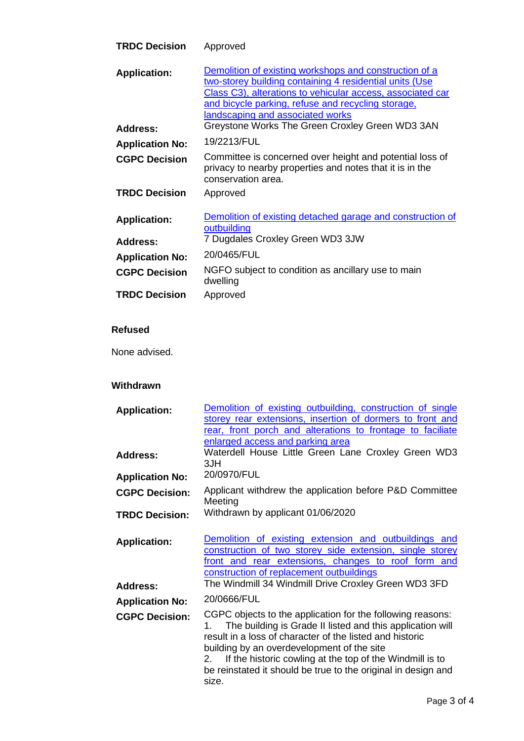| <b>TRDC Decision</b>   | Approved                                                                                                                                                                                                                                                                  |
|------------------------|---------------------------------------------------------------------------------------------------------------------------------------------------------------------------------------------------------------------------------------------------------------------------|
| <b>Application:</b>    | Demolition of existing workshops and construction of a<br>two-storey building containing 4 residential units (Use<br>Class C3), alterations to vehicular access, associated car<br>and bicycle parking, refuse and recycling storage.<br>landscaping and associated works |
| <b>Address:</b>        | Greystone Works The Green Croxley Green WD3 3AN                                                                                                                                                                                                                           |
| <b>Application No:</b> | 19/2213/FUL                                                                                                                                                                                                                                                               |
| <b>CGPC Decision</b>   | Committee is concerned over height and potential loss of<br>privacy to nearby properties and notes that it is in the<br>conservation area.                                                                                                                                |
| <b>TRDC Decision</b>   | Approved                                                                                                                                                                                                                                                                  |
| <b>Application:</b>    | Demolition of existing detached garage and construction of<br>outbuilding                                                                                                                                                                                                 |
| <b>Address:</b>        | 7 Dugdales Croxley Green WD3 3JW                                                                                                                                                                                                                                          |
| <b>Application No:</b> | 20/0465/FUL                                                                                                                                                                                                                                                               |
| <b>CGPC Decision</b>   | NGFO subject to condition as ancillary use to main<br>dwelling                                                                                                                                                                                                            |
| <b>TRDC Decision</b>   | Approved                                                                                                                                                                                                                                                                  |
| <b>Refused</b>         |                                                                                                                                                                                                                                                                           |
| None advised.          |                                                                                                                                                                                                                                                                           |

# **Withdrawn**

| <b>Application:</b>    | Demolition of existing outbuilding, construction of single<br>storey rear extensions, insertion of dormers to front and<br>rear, front porch and alterations to frontage to faciliate<br>enlarged access and parking area                                                                                                                                                           |
|------------------------|-------------------------------------------------------------------------------------------------------------------------------------------------------------------------------------------------------------------------------------------------------------------------------------------------------------------------------------------------------------------------------------|
| <b>Address:</b>        | Waterdell House Little Green Lane Croxley Green WD3<br>3JH                                                                                                                                                                                                                                                                                                                          |
| <b>Application No:</b> | 20/0970/FUL                                                                                                                                                                                                                                                                                                                                                                         |
| <b>CGPC Decision:</b>  | Applicant withdrew the application before P&D Committee<br>Meeting                                                                                                                                                                                                                                                                                                                  |
| <b>TRDC Decision:</b>  | Withdrawn by applicant 01/06/2020                                                                                                                                                                                                                                                                                                                                                   |
| <b>Application:</b>    | Demolition of existing extension and outbuildings and<br>construction of two storey side extension, single storey<br>front and rear extensions, changes to roof form and<br>construction of replacement outbuildings<br>The Windmill 34 Windmill Drive Croxley Green WD3 3FD                                                                                                        |
| <b>Address:</b>        |                                                                                                                                                                                                                                                                                                                                                                                     |
| <b>Application No:</b> | 20/0666/FUL                                                                                                                                                                                                                                                                                                                                                                         |
| <b>CGPC Decision:</b>  | CGPC objects to the application for the following reasons:<br>The building is Grade II listed and this application will<br>1.<br>result in a loss of character of the listed and historic<br>building by an overdevelopment of the site<br>If the historic cowling at the top of the Windmill is to<br>2.<br>be reinstated it should be true to the original in design and<br>size. |